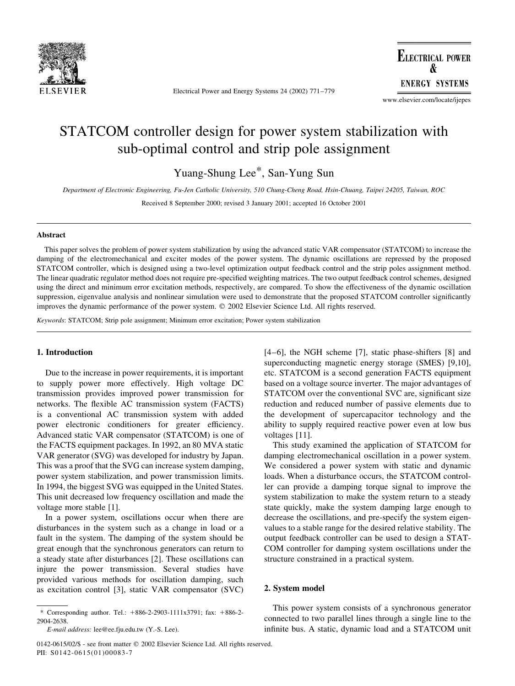

Electrical Power and Energy Systems 24 (2002) 771-779

**ELECTRICAL POWER ENERGY SYSTEMS** 

www.elsevier.com/locate/ijepes

# STATCOM controller design for power system stabilization with sub-optimal control and strip pole assignment

Yuang-Shung Lee\*, San-Yung Sun

Department of Electronic Engineering, Fu-Jen Catholic University, 510 Chung-Cheng Road, Hsin-Chuang, Taipei 24205, Taiwan, ROC

Received 8 September 2000; revised 3 January 2001; accepted 16 October 2001

### **Abstract**

This paper solves the problem of power system stabilization by using the advanced static VAR compensator (STATCOM) to increase the damping of the electromechanical and exciter modes of the power system. The dynamic oscillations are repressed by the proposed STATCOM controller, which is designed using a two-level optimization output feedback control and the strip poles assignment method. The linear quadratic regulator method does not require pre-specified weighting matrices. The two output feedback control schemes, designed using the direct and minimum error excitation methods, respectively, are compared. To show the effectiveness of the dynamic oscillation suppression, eigenvalue analysis and nonlinear simulation were used to demonstrate that the proposed STATCOM controller significantly improves the dynamic performance of the power system. © 2002 Elsevier Science Ltd. All rights reserved.

Keywords: STATCOM; Strip pole assignment; Minimum error excitation; Power system stabilization

## 1. Introduction

Due to the increase in power requirements, it is important to supply power more effectively. High voltage DC transmission provides improved power transmission for networks. The flexible AC transmission system (FACTS) is a conventional AC transmission system with added power electronic conditioners for greater efficiency. Advanced static VAR compensator (STATCOM) is one of the FACTS equipment packages. In 1992, an 80 MVA static VAR generator (SVG) was developed for industry by Japan. This was a proof that the SVG can increase system damping, power system stabilization, and power transmission limits. In 1994, the biggest SVG was equipped in the United States. This unit decreased low frequency oscillation and made the voltage more stable [1].

In a power system, oscillations occur when there are disturbances in the system such as a change in load or a fault in the system. The damping of the system should be great enough that the synchronous generators can return to a steady state after disturbances [2]. These oscillations can injure the power transmission. Several studies have provided various methods for oscillation damping, such as excitation control [3], static VAR compensator (SVC)  $[4-6]$ , the NGH scheme  $[7]$ , static phase-shifters  $[8]$  and superconducting magnetic energy storage (SMES) [9,10], etc. STATCOM is a second generation FACTS equipment based on a voltage source inverter. The major advantages of STATCOM over the conventional SVC are, significant size reduction and reduced number of passive elements due to the development of supercapacitor technology and the ability to supply required reactive power even at low bus voltages [11].

This study examined the application of STATCOM for damping electromechanical oscillation in a power system. We considered a power system with static and dynamic loads. When a disturbance occurs, the STATCOM controller can provide a damping torque signal to improve the system stabilization to make the system return to a steady state quickly, make the system damping large enough to decrease the oscillations, and pre-specify the system eigenvalues to a stable range for the desired relative stability. The output feedback controller can be used to design a STAT-COM controller for damping system oscillations under the structure constrained in a practical system.

### 2. System model

This power system consists of a synchronous generator connected to two parallel lines through a single line to the infinite bus. A static, dynamic load and a STATCOM unit

<sup>\*</sup> Corresponding author. Tel.: +886-2-2903-1111x3791; fax: +886-2-2904-2638

E-mail address: lee@ee.fju.edu.tw (Y.-S. Lee).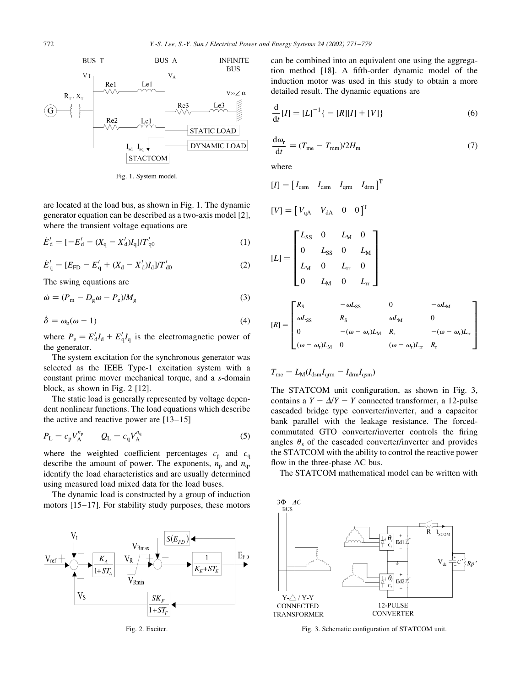

Fig. 1. System model.

are located at the load bus, as shown in Fig. 1. The dynamic generator equation can be described as a two-axis model [2], where the transient voltage equations are

$$
\dot{E}'_d = [-E'_d - (X_q - X'_d)I_q] / T'_{q0}
$$
\n(1)

$$
\dot{E}'_{\mathbf{q}} = [E_{\mathbf{FD}} - E'_{\mathbf{q}} + (X_{\mathbf{d}} - X'_{\mathbf{d}})I_{\mathbf{d}}]/T'_{\mathbf{d0}} \tag{2}
$$

The swing equations are

$$
\dot{\omega} = (P_{\rm m} - D_{\rm g}\omega - P_{\rm e})/M_{\rm g} \tag{3}
$$

$$
\dot{\delta} = \omega_{b}(\omega - 1) \tag{4}
$$

where  $P_e = E_d I_d + E_q I_q$  is the electromagnetic power of the generator.

The system excitation for the synchronous generator was selected as the IEEE Type-1 excitation system with a constant prime mover mechanical torque, and a s-domain block, as shown in Fig. 2 [12].

The static load is generally represented by voltage dependent nonlinear functions. The load equations which describe the active and reactive power are  $[13-15]$ 

$$
P_{\rm L} = c_{\rm p} V_{\rm A}^{n_{\rm p}} \qquad Q_{\rm L} = c_{\rm q} V_{\rm A}^{n_{\rm q}} \tag{5}
$$

where the weighted coefficient percentages  $c_p$  and  $c_q$ describe the amount of power. The exponents,  $n_p$  and  $n_q$ , identify the load characteristics and are usually determined using measured load mixed data for the load buses.

The dynamic load is constructed by a group of induction motors  $[15-17]$ . For stability study purposes, these motors



Fig. 2. Exciter.

can be combined into an equivalent one using the aggregation method [18]. A fifth-order dynamic model of the induction motor was used in this study to obtain a more detailed result. The dynamic equations are

$$
\frac{d}{dt}[I] = [L]^{-1}\{-[R][I] + [V]\}\tag{6}
$$

$$
\frac{d\omega_{\rm r}}{dt} = (T_{\rm me} - T_{\rm mm})/2H_{\rm m} \tag{7}
$$

where

$$
[I] = [I_{qsm} \ I_{dsm} \ I_{qrm} \ I_{qrm} \ I_{drm} \ ]^{T}
$$
  
\n
$$
[V] = [V_{qA} \ V_{dA} \ 0 \ 0]^T
$$
  
\n
$$
[L] = \begin{bmatrix} L_{SS} \ 0 \ L_{M} \ 0 \end{bmatrix} \ I_{m} \ I_{m}
$$
  
\n
$$
[L] = \begin{bmatrix} L_{SS} \ 0 \ L_{M} \ 0 \end{bmatrix} \ I_{m} \ 0 \ I_{m}
$$
  
\n
$$
[L] = \begin{bmatrix} R_{S} \ -\omega L_{SS} \ 0 \ L_{m} \ 0 \end{bmatrix} \ I_{m}
$$
  
\n
$$
[R] = \begin{bmatrix} R_{S} \ -\omega L_{SS} \ R_{S} \ \omega L_{M} \ 0 \ -(\omega - \omega_{r})L_{M} \ R_{r} \ -(\omega - \omega_{r})L_{m} \end{bmatrix}
$$

$$
T_{\rm me} = L_{\rm M}(I_{\rm dsm}I_{\rm qrm} - I_{\rm drm}I_{\rm qsm})
$$

The STATCOM unit configuration, as shown in Fig. 3, contains a  $Y - \Delta/Y - Y$  connected transformer, a 12-pulse cascaded bridge type converter/inverter, and a capacitor bank parallel with the leakage resistance. The forcedcommutated GTO converter/inverter controls the firing angles  $\theta_s$  of the cascaded converter/inverter and provides the STATCOM with the ability to control the reactive power flow in the three-phase AC bus.

The STATCOM mathematical model can be written with



Fig. 3. Schematic configuration of STATCOM unit.